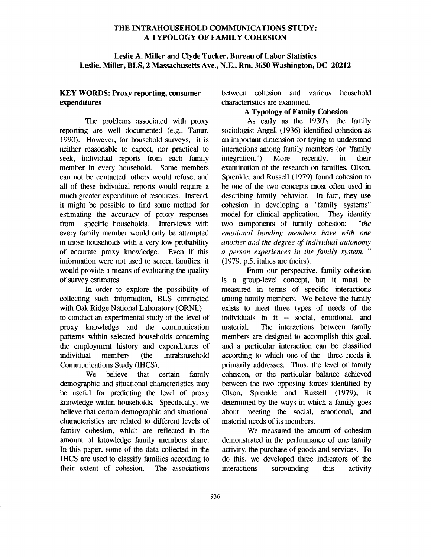## THE INTRAHOUSEHOLD COMMUNICATIONS STUDY: A TYPOLOGY OF FAMILY COHESION

## **Leslie A. Miller and Clyde Tucker, Bureau of Labor Statistics Leslie. Miller, BLS, 2 Massachusetts Ave., N.E., Rm. 3650 Washington, DC 20212**

## **KEY WORDS: Proxy reporting, consumer expenditures**

The problems associated with proxy reporting are well documented (e.g., Tanur, 1990). However, for household surveys, it is neither reasonable to expect, nor practical to seek, individual reports from each family member in every household. Some members can not be contacted, others would refuse, and all of these individual reports would require a much greater expenditure of resources. Instead, it might be possible to find some method for estimating the accuracy of proxy responses from specific households. Interviews with every family member would only be attempted in those households with a very low probability of accurate proxy knowledge. Even if this information were not used to screen families, it would provide a means of evaluating the quality of survey estimates.

In order to explore the possibility of collecting such information, BLS contracted with Oak Ridge National Laboratory (ORNL) to conduct an experimental study of the level of proxy knowledge and the communication pattems within selected households conceming the employment history and expenditures of individual members (the Intrahousehold Communications Study (IHCS).

We believe that certain family demographic and situational characteristics may be useful for predicting the level of proxy knowledge within households. Specifically, we believe that certain demographic and situational characteristics are related to different levels of family cohesion, which are reflected in the amount of knowledge family members share. In this paper, some of the data collected in the IHCS are used to classify families according to their extent of cohesion. The associations between cohesion and various household characteristics are examined.

# **A Typology of Family Cohesion**

As early as the 1930's, the family sociologist Angell (1936) identified cohesion as an important dimension for trying to understand interactions among family members (or "family integration.") More recently, in their examination of the research on families, Olson, Sprenkle, and Russell (1979) found cohesion to be one of the two concepts most often used in describing family behavior. In fact, they use cohesion in developing a "family systems" model for clinical application. They identify two components of family cohesion: *"the emotional bonding members have with one another and the degree of individual autonomy a person experiences in the family system. "*  (1979, p.5, italics are theirs).

From our perspective, family cohesion is a group-level concept, but it must be measured in terms of specific interactions among family members. We believe the family exists to meet three types of needs of the individuals in it -- social, emotional, and material. The interactions between family members are designed to accomplish this goal, and a particular interaction can be classified according to which one of the three needs it primarily addresses. Thus, the level of family cohesion, or the particular balance achieved between the two opposing forces identified by Olson, Sprenkle and Russell (1979), is determined by the ways in which a family goes about meeting the social, emotional, and material needs of its members.

We measured the amount of cohesion demonstrated in the performance of one family activity, the purchase of goods and services. To do this, we developed three indicators of the interactions surrounding this activity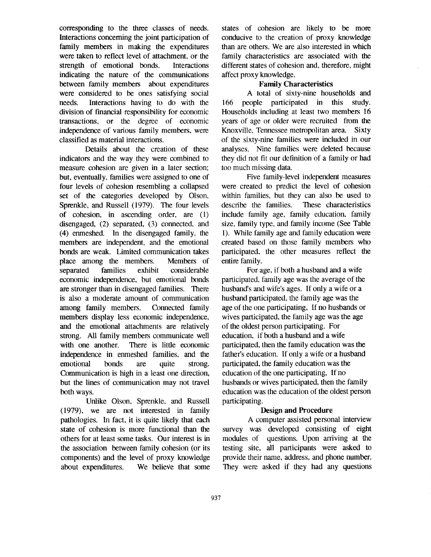corresponding to the three classes of needs. Interactions conceming the joint participation of family members in making the expenditures were taken to reflect level of attachment, or the strength of emotional bonds. Interactions indicating the nature of the communications between family members about expenditures were considered to be ones satisfying social needs. Interactions having to do with the division of financial responsibility for economic transactions, or the degree of economic independence of various family members, were classified as material interactions.

Details about the creation of these indicators and the way they were combined to measure cohesion are given in a later section; but, eventually, families were assigned to one of four levels of cohesion resembling a collapsed set of the categories developed by Olson, Sprenkle, and Russell (1979). The four levels of cohesion, in ascending order, are (1) disengaged, (2) separated, (3) connected, and (4) enmeshed. In the disengaged family, the members are independent, and the emotional bonds are weak. Limited communication takes place among the members. Members of separated families exhibit considerable economic independence, but emotional bonds are stronger than in disengaged families. There is also a moderate amount of communication among family members. Connected family members display less economic independence, and the emotional attachments are relatively strong. All family members communicate well with one another. There is little economic independence in enmeshed families, and the emotional bonds are quite strong. Communication is high in a least one direction, but the lines of communication may not travel both ways.

Unlike Olson, Sprenkle, and Russell (1979), we are not interested in family pathologies. In fact, it is quite likely that each state of cohesion is more functional than the others for at least some tasks. Our interest is in the association between family cohesion (or its components) and the level of proxy knowledge about expenditures. We believe that some

states of cohesion are likely to be more conducive to the creation of proxy knowledge than are others. We are also interested in which family characteristics are associated with the different states of cohesion and, therefore, might affect proxy knowledge.

# Family Characteristics

A total of sixty-nine households and 166 people participated in this study. Households including at least two members 16 years of age or older were recruited from the Knoxville, Tennessee metropolitan area. Sixty of the sixty-nine families were included in our analyses. Nine families were deleted because they did not fit our definition of a family or had too much missing data.

Five family-level independent measures were created to predict the level of cohesion within families, but they can also be used to describe the families. These characteristics include family age, family education, family size, family type, and family income (See Table 1). While family age and family education were created based on those family members who participated, the other measures reflect the entire family.

For age, if both a husband and a wife participated, family age was the average of the husband's and wife's ages. If only a wife or a husband participated, the family age was the age of the one participating, If no husbands or wives participated, the family age was the age of the oldest person participating. For education, if both a husband and a wife participated, then the family education was the father's education. If only a wife or a husband participated, the family education was the education of the one participating, If no husbands or wives participated, then the family education was the education of the oldest person participating.

### Design and Procedure

A computer assisted personal interview survey was developed consisting of eight modules of questions. Upon arriving at the testing site, all participants were asked to provide their name, address, and phone number. They were asked if they had any questions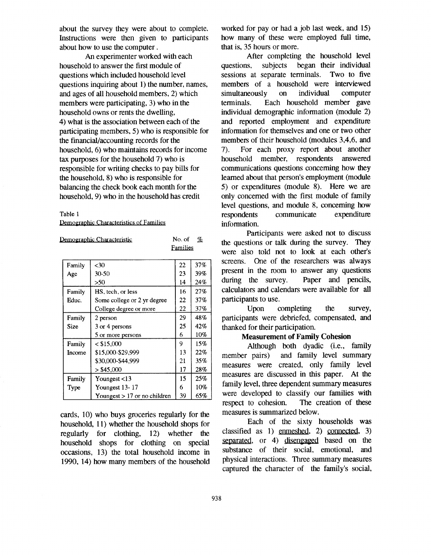about the survey they were about to complete. Instructions were then given to participants about how to use the computer.

An experimenter worked with each household to answer the first module of questions which included household level questions inquiring about 1) the number, names, and ages of all household members, 2) which members were participating, 3) who in the household owns or rents the dwelling, 4) what is the association between each of the participating members, 5) who is responsible for the financial/accounting records for the household, 6) who maintains records for income tax purposes for the household 7) who is responsible for writing checks to pay bills for the household, 8) who is responsible for balancing the check book each month for the household, 9) who in the household has credit

#### Table 1

Demographic Characteristics of Families

| No. of<br>Demographic Characteristic |                                |          | $\%$ |
|--------------------------------------|--------------------------------|----------|------|
|                                      |                                | Families |      |
|                                      |                                |          |      |
| Family                               | $30$                           | 22       | 37%  |
| Age                                  | $30-50$                        | 23       | 39%  |
|                                      | >50                            | 14       | 24%  |
| Family                               | HS, tech, or less              | 16       | 27%  |
| Educ.                                | Some college or 2 yr degree    | 22       | 37%  |
|                                      | College degree or more         | 22       | 37%  |
| Family                               | 2 person                       | 29       | 48%  |
| Size                                 | 3 or 4 persons                 | 25       | 42%  |
|                                      | 5 or more persons              | 6        | 10%  |
| Family                               | < \$15,000                     | 9        | 15%  |
| Income                               | \$15,000-\$29.999              | 13       | 22%  |
|                                      | \$30,000-\$44,999              | 21       | 35%  |
|                                      | $>$ \$45,000                   | 17       | 28%  |
| Family                               | Youngest $<$ 13                | 15       | 25%  |
| Type                                 | Youngest 13-17                 | 6        | 10%  |
|                                      | Youngest $> 17$ or no children | 39       | 65%  |

cards, 10) who buys groceries regularly for the household, 11) whether the household shops for regularly for clothing, 12) whether the household shops for clothing on special occasions, 13) the total household income in 1990, 14) how many members of the household worked for pay or had a job last week, and 15) how many of these were employed full time, that is, 35 hours or more.

After completing the household level questions, subjects began their individual sessions at separate terminals. Two to five members of a household were interviewed<br>simultaneously on individual computer simultaneously on individual computer terminals. Each household member gave individual demographic information (module 2) and reported employment and expenditure information for themselves and one or two other members of their household (modules 3,4,6, and 7). For each proxy report about mother household member, respondents answered communications questions conceming how they leamed about that person's employment (module 5) or expenditures (module 8). Here we are only concemed with the first module of family level questions, and module 8, conceming how respondents communicate expenditure information.

Participants were asked not to discuss the questions or talk during the survey. They were also told not to look at each other's screens. One of the researchers was always present in the room to answer any questions during the survey. Paper and pencils, calculators and calendars were available for all participants to use.

Upon completing the survey, participants were debriefed, compensated, and thanked for their participation.

#### **Measurement of Family Cohesion**

Although both dyadic (i.e., family member pairs) and family level summary measures were created, only family level measures are discussed in this paper. At the family level, three dependent summary measures were developed to classify our families with respect to cohesion. The creation of these measures is summarized below.

Each of the sixty households was classified as 1) enmeshed, 2) connected, 3) separated, or 4) disengaged based on the substance of their social, emotional, and physical interactions. Three summary measures captured the character of the family's social,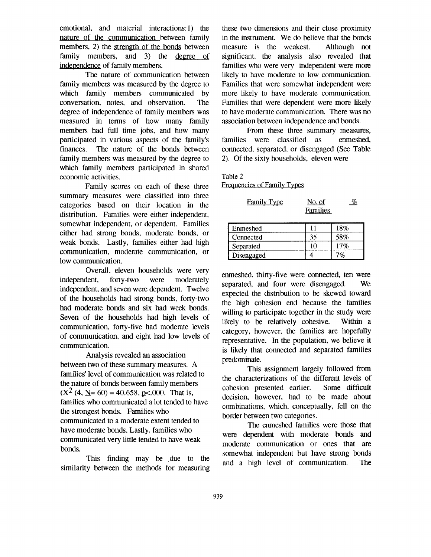emotional, and material interactions:1) the nature of the communication between family members, 2) the strength of the bonds between family members, and  $3$ ) the degree of independence of family members.

The nature of communication between family members was measured by the degree to which family members communicated by conversation, notes, and observation. The degree of independence of family members was measured in terms of how many family members had full time jobs, and how many participated in various aspects of the family's finances. The nature of the bonds between family members was measured by the degree to which family members participated in shared economic activities.

Family scores on each of these three summary measures were classified into three categories based on their location in the distribution. Families were either independent, somewhat independent, or dependent. Families either had strong bonds, moderate bonds, or weak bonds. Lastly, families either had high communication, moderate communication, or low communication.

Overall, eleven households were very independent, forty-two were moderately independent, and seven were dependent. Twelve of the households had strong bonds, forty-two had moderate bonds and six had week bonds. Seven of the households had high levels of communication, forty-five had moderate levels of communication, and eight had low levels of communication.

Analysis revealed an association between two of these summary measures. A families' level of communication was related to the nature of bonds between family members  $(X<sup>2</sup>(4, N=60) = 40.658, p<.000$ . That is, families who communicated a lot tended to have the strongest bonds. Families who communicated to a moderate extent tended to have moderate bonds. Lastly, families who communicated very little tended to have weak bonds.

This finding may be due to the similarity between the methods for measuring

these two dimensions and their close proximity in the instrument. We do believe that the bonds measure is the weakest. Although not significant, the analysis also revealed that families who were very independent were more likely to have moderate to low communication. Families that were somewhat independent were more likely to have moderate communication. Families that were dependent were more likely to have moderate communication. There was no association between independence and bonds.

From these three summary measures, families were classified as enmeshed, connected, separated, or disengaged (See Table 2). Of the sixty households, eleven were

Table 2

Frequencies of Family Types

| <b>Family Type</b> | No. of   |  |
|--------------------|----------|--|
|                    | Families |  |

| Enmeshed   | 18% |
|------------|-----|
| Connected  | 58% |
| Separated  | 17% |
| Disengaged |     |

enmeshed, thirty-five were connected, ten were separated, and four were disengaged. We expected the distribution to be skewed toward the high cohesion end because the families willing to participate together in the study were likely to be relatively cohesive. Within a category, however, the families are hopefully representative. In the population, we believe it is likely that connected and separated families predominate.

This assignment largely followed from the characterizations of the different levels of cohesion presented earlier. Some difficult decision, however, had to be made about combinations, which, conceptually, fell on the border between two categories.

The enmeshed families were those that were dependent with moderate bonds and moderate communication or ones that are somewhat independent but have strong bonds and a high level of communication. The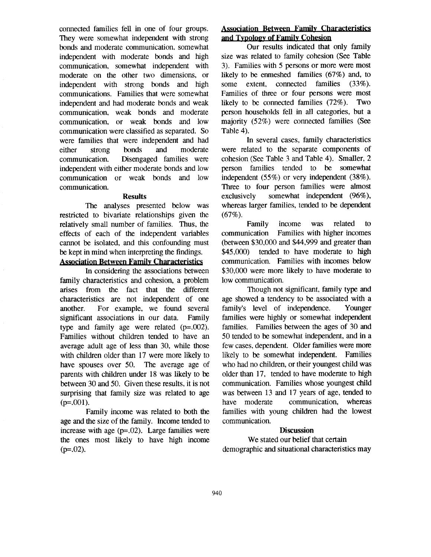connected families fell in one of four groups. They were somewhat independent with strong bonds and moderate communication, somewhat independent with moderate bonds and high communication, somewhat independent with moderate on the other two dimensions, or independent with strong bonds and high communications. Families that were somewhat independent and had moderate bonds and weak communication, weak bonds and moderate communication, or weak bonds and low communication were classified as separated. So were families that were independent and had either strong bonds and moderate communication. Disengaged families were independent with either moderate bonds and low communication or weak bonds and low communication.

#### **Results**

The analyses presented below was restricted to bivariate relationships given the relatively small number of families. Thus, the effects of each of the independent variables cannot be isolated, and this confounding must be kept in mind when interpreting the findings.

## **Association Between Family Characteristics**

In considering the associations between family characteristics and cohesion, a problem arises from the fact that the different characteristics are not independent of one another. For example, we found several significant associations in our data. Family type and family age were related  $(p=.002)$ . Families without children tended to have an average adult age of less than 30, while those with children older than 17 were more likely to have spouses over 50. The average age of parents with children under 18 was likely to be between 30 and 50. Given these results, it is not surprising that family size was related to age  $(p=0.001)$ .

Family income was related to both the age and the size of the family. Income tended to increase with age (p=.02). Large families were the ones most likely to have high income  $(p=.02)$ .

# **Association Between Family Characteristics**  and Typology of Family Cohesion

Our results indicated that only family size was related to family cohesion (See Table 3). Families with 5 persons or more were most likely to be enmeshed families (67%) and, to some extent, connected families (33%). Families of three or four persons were most likely to be connected families (72%). Two person households fell in all categories, but a majority (52%) were connected families (See Table 4).

In several cases, family characteristics were related to the separate components of cohesion (See Table 3 and Table 4). Smaller, 2 person families tended to be somewhat independent (55%) or very independent (38%). Three to four person families were almost exclusively somewhat independent (96%), whereas larger families, tended to be dependent  $(67\%).$ 

Family income was related to communication Families with higher incomes (between \$30,000 and \$44,999 and greater than \$45,000) tended to have moderate to high communication. Families with incomes below \$30,000 were more likely to have moderate to low communication.

Though not significant, family type and age showed a tendency to be associated with a family's level of independence. Younger families were highly or somewhat independent families. Families between the ages of 30 and 50 tended to be somewhat independent, and in a few cases, dependent. Older families were more likely to be somewhat independent. Families who had no children, or their youngest child was older than 17, tended to have moderate to high communication. Families whose youngest child was between 13 and 17 years of age, tended to have moderate communication, whereas families with young children had the lowest communication.

### **Discussion**

We stated our belief that certain demographic and situational characteristics **may**